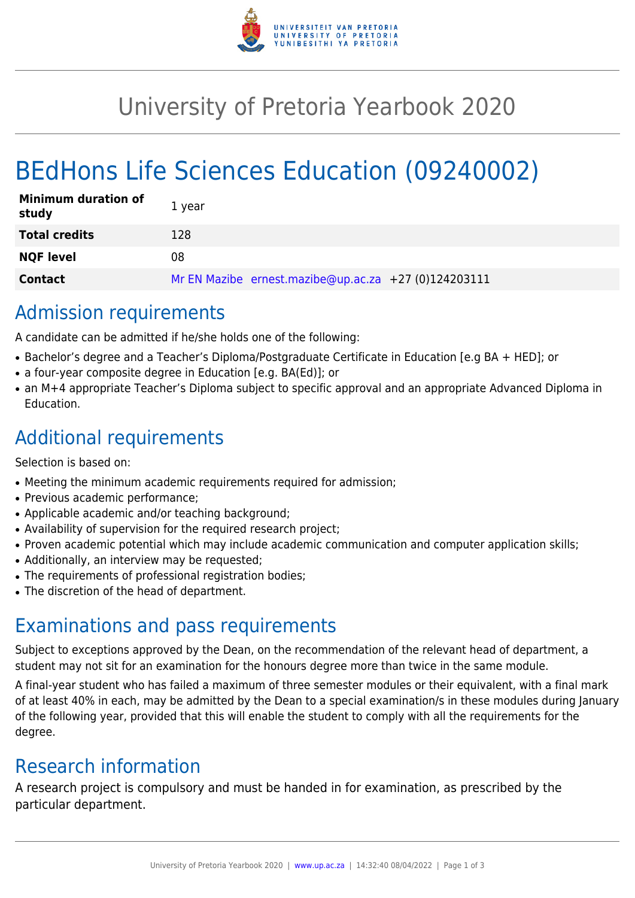

## University of Pretoria Yearbook 2020

# BEdHons Life Sciences Education (09240002)

| <b>Minimum duration of</b><br>study | 1 year                                               |
|-------------------------------------|------------------------------------------------------|
| <b>Total credits</b>                | 128                                                  |
| <b>NQF level</b>                    | 08                                                   |
| <b>Contact</b>                      | Mr EN Mazibe ernest.mazibe@up.ac.za +27 (0)124203111 |

## Admission requirements

A candidate can be admitted if he/she holds one of the following:

- Bachelor's degree and a Teacher's Diploma/Postgraduate Certificate in Education [e.g BA + HED]; or
- a four-year composite degree in Education [e.g. BA(Ed)]; or
- an M+4 appropriate Teacher's Diploma subject to specific approval and an appropriate Advanced Diploma in Education.

## Additional requirements

Selection is based on:

- Meeting the minimum academic requirements required for admission;
- Previous academic performance;
- Applicable academic and/or teaching background;
- Availability of supervision for the required research project;
- Proven academic potential which may include academic communication and computer application skills;
- Additionally, an interview may be requested;
- The requirements of professional registration bodies;
- The discretion of the head of department.

#### Examinations and pass requirements

Subject to exceptions approved by the Dean, on the recommendation of the relevant head of department, a student may not sit for an examination for the honours degree more than twice in the same module.

A final-year student who has failed a maximum of three semester modules or their equivalent, with a final mark of at least 40% in each, may be admitted by the Dean to a special examination/s in these modules during January of the following year, provided that this will enable the student to comply with all the requirements for the degree.

#### Research information

A research project is compulsory and must be handed in for examination, as prescribed by the particular department.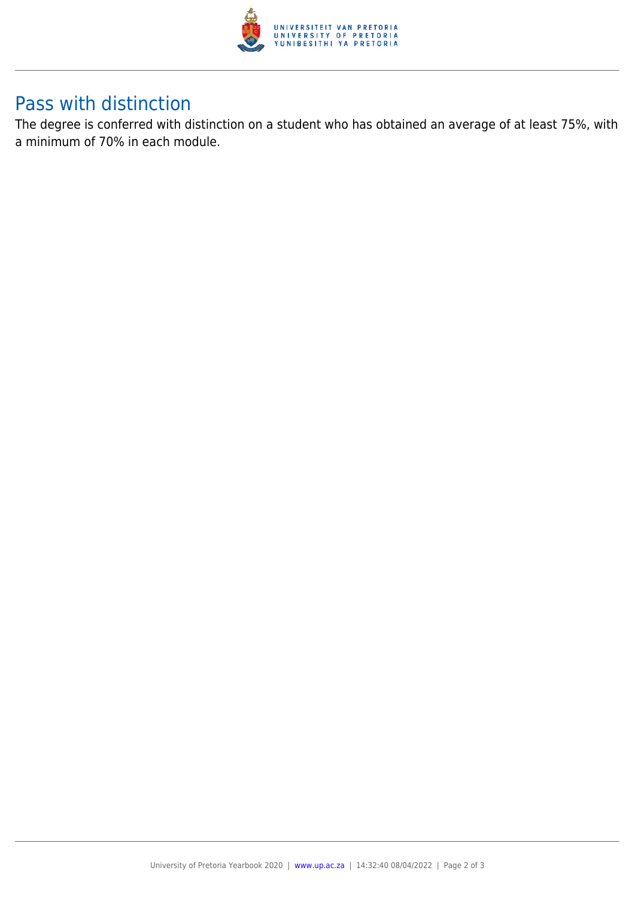

#### Pass with distinction

The degree is conferred with distinction on a student who has obtained an average of at least 75%, with a minimum of 70% in each module.